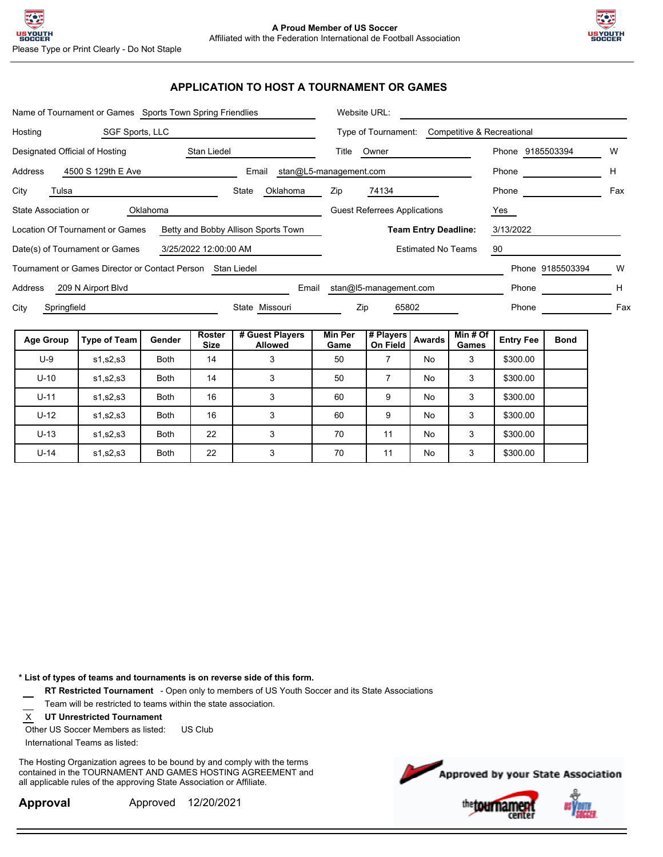

### **APPLICATION TO HOST A TOURNAMENT OR GAMES**

|                                                                        | Name of Tournament or Games Sports Town Spring Friendlies  | Website URL:                                      |                              |                                   |                        |                                     |           |                 |                  |                  |     |  |
|------------------------------------------------------------------------|------------------------------------------------------------|---------------------------------------------------|------------------------------|-----------------------------------|------------------------|-------------------------------------|-----------|-----------------|------------------|------------------|-----|--|
| Hosting                                                                | SGF Sports, LLC                                            | Type of Tournament:<br>Competitive & Recreational |                              |                                   |                        |                                     |           |                 |                  |                  |     |  |
| Stan Liedel<br>Designated Official of Hosting                          |                                                            |                                                   |                              |                                   |                        | Title<br>Owner                      |           |                 | Phone 9185503394 |                  | W   |  |
| Address                                                                | 4500 S 129th E Ave                                         |                                                   |                              | Email                             | stan@L5-management.com |                                     |           |                 | Phone            |                  | н   |  |
| City<br>Tulsa                                                          |                                                            |                                                   |                              | State<br>Oklahoma                 | Zip                    | 74134                               |           |                 | Phone            |                  | Fax |  |
| State Association or                                                   |                                                            | Oklahoma                                          |                              |                                   |                        | <b>Guest Referrees Applications</b> |           |                 | Yes              |                  |     |  |
| Location Of Tournament or Games<br>Betty and Bobby Allison Sports Town |                                                            |                                                   |                              |                                   |                        | <b>Team Entry Deadline:</b>         |           |                 |                  | 3/13/2022        |     |  |
| 3/25/2022 12:00:00 AM<br>Date(s) of Tournament or Games                |                                                            |                                                   |                              |                                   |                        | <b>Estimated No Teams</b><br>90     |           |                 |                  |                  |     |  |
|                                                                        | Tournament or Games Director or Contact Person Stan Liedel |                                                   |                              |                                   |                        |                                     |           |                 |                  | Phone 9185503394 | W   |  |
| Address                                                                | 209 N Airport Blvd                                         |                                                   |                              | Email                             |                        | stan@l5-management.com              |           |                 | Phone            |                  | H   |  |
| Springfield<br>City                                                    |                                                            |                                                   |                              | State Missouri                    | Zip                    | 65802                               |           |                 | Phone            |                  | Fax |  |
| <b>Age Group</b>                                                       | <b>Type of Team</b>                                        | Gender                                            | <b>Roster</b><br><b>Size</b> | # Guest Players<br><b>Allowed</b> | <b>Min Per</b><br>Game | # Players<br>On Field               | Awards    | Min#Of<br>Games | <b>Entry Fee</b> | <b>Bond</b>      |     |  |
| $U-9$                                                                  | s1, s2, s3                                                 | <b>Both</b>                                       | 14                           | 3                                 | 50                     | $\overline{7}$                      | No        | 3               | \$300.00         |                  |     |  |
| $U-10$                                                                 | s1, s2, s3                                                 | <b>Both</b>                                       | 14                           | 3                                 | 50                     | $\overline{7}$                      | No        | 3               | \$300.00         |                  |     |  |
| $U-11$                                                                 | s1, s2, s3                                                 | <b>Both</b>                                       | 16                           | 3                                 | 60                     | 9                                   | No        | 3               | \$300.00         |                  |     |  |
| $U-12$                                                                 | s1, s2, s3                                                 | <b>Both</b>                                       | 16                           | 3                                 | 60                     | 9                                   | <b>No</b> | 3               | \$300.00         |                  |     |  |

U-13 | s1,s2,s3 | Both | 22 | 3 70 | 11 | No | 3 | \$300.00 U-14 | s1,s2,s3 | Both | 22 | 3 70 | 11 | No | 3 | \$300.00

**\* List of types of teams and tournaments is on reverse side of this form.**

**RT Restricted Tournament** - Open only to members of US Youth Soccer and its State Associations

Team will be restricted to teams within the state association.

X **UT Unrestricted Tournament**

Other US Soccer Members as listed: US Club International Teams as listed:

The Hosting Organization agrees to be bound by and comply with the terms contained in the TOURNAMENT AND GAMES HOSTING AGREEMENT and all applicable rules of the approving State Association or Affiliate.

**Approval** Approved 12/20/2021

Approved by your State Association the tournan cen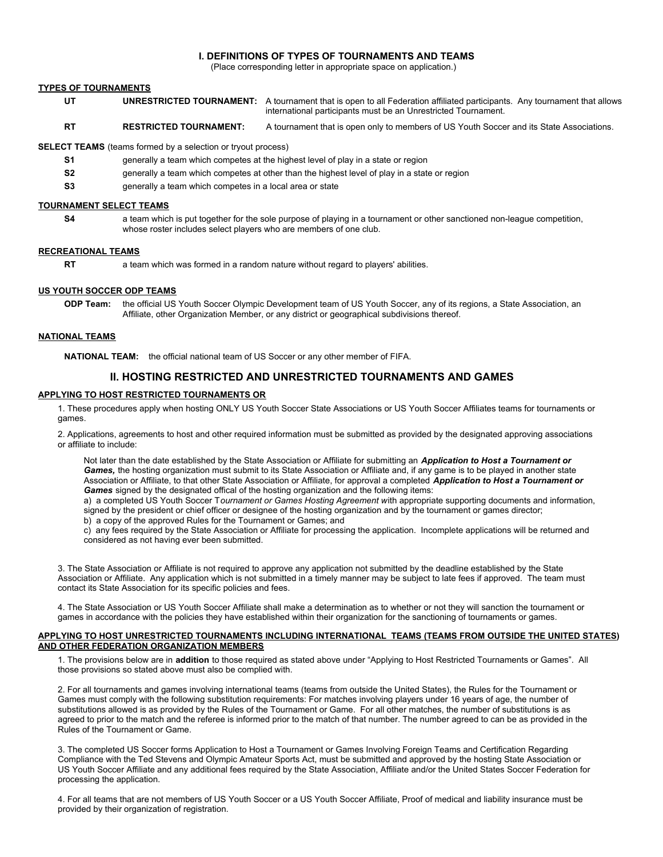#### **I. DEFINITIONS OF TYPES OF TOURNAMENTS AND TEAMS**

(Place corresponding letter in appropriate space on application.)

#### **TYPES OF TOURNAMENTS**

- **UT** UNRESTRICTED TOURNAMENT: A tournament that is open to all Federation affiliated participants. Any tournament that allows international participants must be an Unrestricted Tournament.
- **RT RESTRICTED TOURNAMENT:** A tournament that is open only to members of US Youth Soccer and its State Associations.

**SELECT TEAMS** (teams formed by a selection or tryout process)

- **S1** generally a team which competes at the highest level of play in a state or region
- **S2** generally a team which competes at other than the highest level of play in a state or region
- **S3** generally a team which competes in a local area or state

#### **TOURNAMENT SELECT TEAMS**

a team which is put together for the sole purpose of playing in a tournament or other sanctioned non-league competition, whose roster includes select players who are members of one club.

#### **RECREATIONAL TEAMS**

**S4**

**RT** a team which was formed in a random nature without regard to players' abilities.

#### **US YOUTH SOCCER ODP TEAMS**

**ODP Team:** the official US Youth Soccer Olympic Development team of US Youth Soccer, any of its regions, a State Association, an Affiliate, other Organization Member, or any district or geographical subdivisions thereof.

#### **NATIONAL TEAMS**

**NATIONAL TEAM:** the official national team of US Soccer or any other member of FIFA.

#### **II. HOSTING RESTRICTED AND UNRESTRICTED TOURNAMENTS AND GAMES**

#### **APPLYING TO HOST RESTRICTED TOURNAMENTS OR**

1. These procedures apply when hosting ONLY US Youth Soccer State Associations or US Youth Soccer Affiliates teams for tournaments or games.

2. Applications, agreements to host and other required information must be submitted as provided by the designated approving associations or affiliate to include:

Not later than the date established by the State Association or Affiliate for submitting an *Application to Host a Tournament or* Games, the hosting organization must submit to its State Association or Affiliate and, if any game is to be played in another state Association or Affiliate, to that other State Association or Affiliate, for approval a completed *Application to Host a Tournament or Games* signed by the designated offical of the hosting organization and the following items:

a) a completed US Youth Soccer T*ournament or Games Hosting Agreement w*ith appropriate supporting documents and information, signed by the president or chief officer or designee of the hosting organization and by the tournament or games director; b) a copy of the approved Rules for the Tournament or Games; and

c) any fees required by the State Association or Affiliate for processing the application. Incomplete applications will be returned and considered as not having ever been submitted.

3. The State Association or Affiliate is not required to approve any application not submitted by the deadline established by the State Association or Affiliate. Any application which is not submitted in a timely manner may be subject to late fees if approved. The team must contact its State Association for its specific policies and fees.

4. The State Association or US Youth Soccer Affiliate shall make a determination as to whether or not they will sanction the tournament or games in accordance with the policies they have established within their organization for the sanctioning of tournaments or games.

#### **APPLYING TO HOST UNRESTRICTED TOURNAMENTS INCLUDING INTERNATIONAL TEAMS (TEAMS FROM OUTSIDE THE UNITED STATES) AND OTHER FEDERATION ORGANIZATION MEMBERS**

1. The provisions below are in **addition** to those required as stated above under "Applying to Host Restricted Tournaments or Games". All those provisions so stated above must also be complied with.

2. For all tournaments and games involving international teams (teams from outside the United States), the Rules for the Tournament or Games must comply with the following substitution requirements: For matches involving players under 16 years of age, the number of substitutions allowed is as provided by the Rules of the Tournament or Game. For all other matches, the number of substitutions is as agreed to prior to the match and the referee is informed prior to the match of that number. The number agreed to can be as provided in the Rules of the Tournament or Game.

 3. The completed US Soccer forms Application to Host a Tournament or Games Involving Foreign Teams and Certification Regarding Compliance with the Ted Stevens and Olympic Amateur Sports Act, must be submitted and approved by the hosting State Association or US Youth Soccer Affiliate and any additional fees required by the State Association, Affiliate and/or the United States Soccer Federation for processing the application.

4. For all teams that are not members of US Youth Soccer or a US Youth Soccer Affiliate, Proof of medical and liability insurance must be provided by their organization of registration.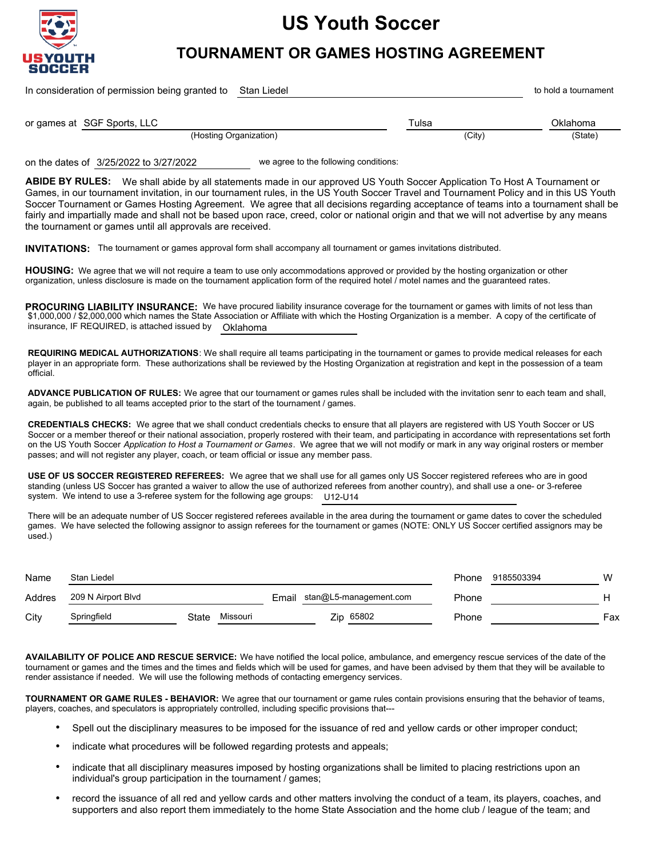

# **US Youth Soccer**

## **TOURNAMENT OR GAMES HOSTING AGREEMENT**

In consideration of permission being granted to Stan Liedel with the standard and the standard to hold a tournament

SGF Sports, LLC Tulsa Oklahoma or games at

(Hosting Organization) (City) (State)

on the dates of 3/25/2022 to 3/27/2022 we agree to the following conditions:

ABIDE BY RULES: We shall abide by all statements made in our approved US Youth Soccer Application To Host A Tournament or Games, in our tournament invitation, in our tournament rules, in the US Youth Soccer Travel and Tournament Policy and in this US Youth Soccer Tournament or Games Hosting Agreement. We agree that all decisions regarding acceptance of teams into a tournament shall be fairly and impartially made and shall not be based upon race, creed, color or national origin and that we will not advertise by any means the tournament or games until all approvals are received.

**INVITATIONS:**  The tournament or games approval form shall accompany all tournament or games invitations distributed.

HOUSING: We agree that we will not require a team to use only accommodations approved or provided by the hosting organization or other organization, unless disclosure is made on the tournament application form of the required hotel / motel names and the guaranteed rates.

**PROCURING LIABILITY INSURANCE:** We have procured liability insurance coverage for the tournament or games with limits of not less than \$1,000,000 / \$2,000,000 which names the State Association or Affiliate with which the Hosting Organization is a member. A copy of the certificate of insurance, IF REQUIRED, is attached issued by Oklahoma

**REQUIRING MEDICAL AUTHORIZATIONS**: We shall require all teams participating in the tournament or games to provide medical releases for each player in an appropriate form. These authorizations shall be reviewed by the Hosting Organization at registration and kept in the possession of a team official.

 **ADVANCE PUBLICATION OF RULES:** We agree that our tournament or games rules shall be included with the invitation senr to each team and shall, again, be published to all teams accepted prior to the start of the tournament / games.

**CREDENTIALS CHECKS:** We agree that we shall conduct credentials checks to ensure that all players are registered with US Youth Soccer or US Soccer or a member thereof or their national association, properly rostered with their team, and participating in accordance with representations set forth on the US Youth Soccer *Application to Host a Tournament or Games*. We agree that we will not modify or mark in any way original rosters or member passes; and will not register any player, coach, or team official or issue any member pass.

**USE OF US SOCCER REGISTERED REFEREES:** We agree that we shall use for all games only US Soccer registered referees who are in good standing (unless US Soccer has granted a waiver to allow the use of authorized referees from another country), and shall use a one- or 3-referee system. We intend to use a 3-referee system for the following age groups: U12-U14

There will be an adequate number of US Soccer registered referees available in the area during the tournament or game dates to cover the scheduled games. We have selected the following assignor to assign referees for the tournament or games (NOTE: ONLY US Soccer certified assignors may be used.)

| Name   | Stan Liedel        |       |          |  |                              | Phone | 9185503394 | W   |
|--------|--------------------|-------|----------|--|------------------------------|-------|------------|-----|
| Addres | 209 N Airport Blvd |       |          |  | Email stan@L5-management.com | Phone |            |     |
| City   | Springfield        | State | Missouri |  | Zip 65802                    | Phone |            | Fax |

**AVAILABILITY OF POLICE AND RESCUE SERVICE:** We have notified the local police, ambulance, and emergency rescue services of the date of the tournament or games and the times and the times and fields which will be used for games, and have been advised by them that they will be available to render assistance if needed. We will use the following methods of contacting emergency services.

**TOURNAMENT OR GAME RULES - BEHAVIOR:** We agree that our tournament or game rules contain provisions ensuring that the behavior of teams, players, coaches, and speculators is appropriately controlled, including specific provisions that---

- ۰ Spell out the disciplinary measures to be imposed for the issuance of red and yellow cards or other improper conduct;
- indicate what procedures will be followed regarding protests and appeals; ۰
- . indicate that all disciplinary measures imposed by hosting organizations shall be limited to placing restrictions upon an individual's group participation in the tournament / games;
- record the issuance of all red and yellow cards and other matters involving the conduct of a team, its players, coaches, and supporters and also report them immediately to the home State Association and the home club / league of the team; and ۰